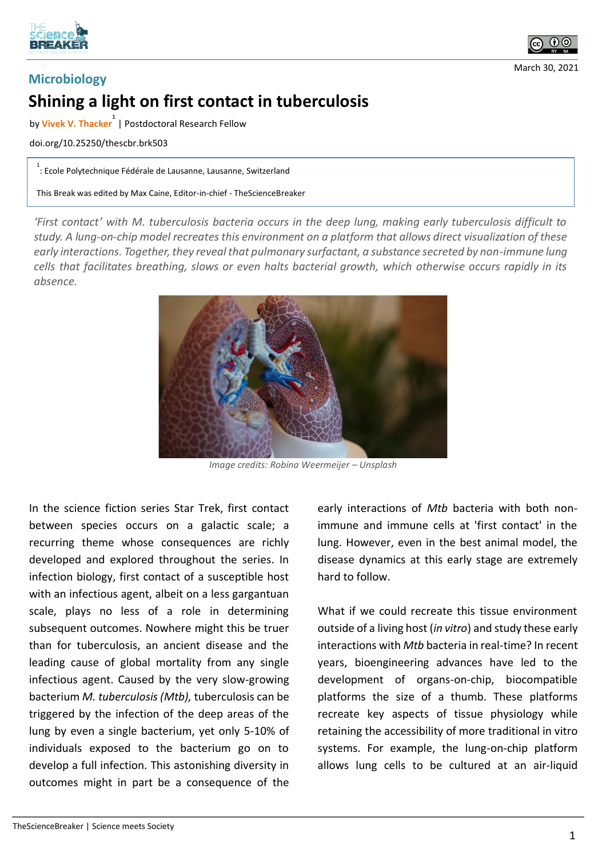



March 30, 2021

## **Microbiology Shining a light on first contact in tuberculosis**

by **Vivek V. Thacker 1** | Postdoctoral Research Fellow

doi.org/10.25250/thescbr.brk503

1 : Ecole Polytechnique Fédérale de Lausanne, Lausanne, Switzerland

This Break was edited by Max Caine, Editor-in-chief - TheScienceBreaker

*'First contact' with M. tuberculosis bacteria occurs in the deep lung, making early tuberculosis difficult to study. A lung-on-chip model recreates this environment on a platform that allows direct visualization of these early interactions. Together, they reveal that pulmonary surfactant, a substance secreted by non-immune lung cells that facilitates breathing, slows or even halts bacterial growth, which otherwise occurs rapidly in its absence.*



*Image credits: Robina Weermeijer – Unsplash*

In the science fiction series Star Trek, first contact between species occurs on a galactic scale; a recurring theme whose consequences are richly developed and explored throughout the series. In infection biology, first contact of a susceptible host with an infectious agent, albeit on a less gargantuan scale, plays no less of a role in determining subsequent outcomes. Nowhere might this be truer than for tuberculosis, an ancient disease and the leading cause of global mortality from any single infectious agent. Caused by the very slow-growing bacterium *M. tuberculosis (Mtb),* tuberculosis can be triggered by the infection of the deep areas of the lung by even a single bacterium, yet only 5-10% of individuals exposed to the bacterium go on to develop a full infection. This astonishing diversity in outcomes might in part be a consequence of the

early interactions of *Mtb* bacteria with both nonimmune and immune cells at 'first contact' in the lung. However, even in the best animal model, the disease dynamics at this early stage are extremely hard to follow.

What if we could recreate this tissue environment outside of a living host (*in vitro*) and study these early interactions with *Mtb* bacteria in real-time? In recent years, bioengineering advances have led to the development of organs-on-chip, biocompatible platforms the size of a thumb. These platforms recreate key aspects of tissue physiology while retaining the accessibility of more traditional in vitro systems. For example, the lung-on-chip platform allows lung cells to be cultured at an air-liquid